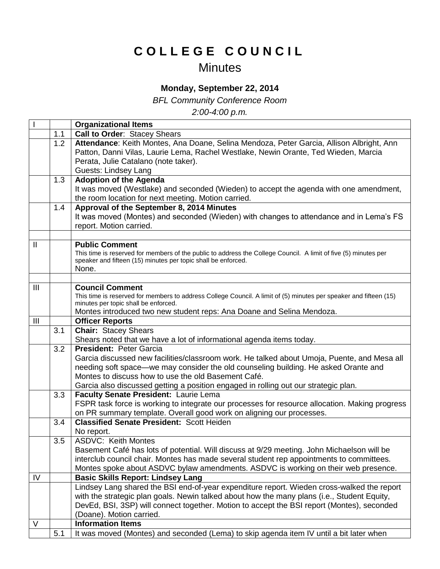## **C O L L E G E C O U N C I L**

## **Minutes**

## **Monday, September 22, 2014**

*BFL Community Conference Room*

*2:00-4:00 p.m.*

|                |     | <b>Organizational Items</b>                                                                                                                                                      |
|----------------|-----|----------------------------------------------------------------------------------------------------------------------------------------------------------------------------------|
|                | 1.1 | <b>Call to Order: Stacey Shears</b>                                                                                                                                              |
|                | 1.2 | Attendance: Keith Montes, Ana Doane, Selina Mendoza, Peter Garcia, Allison Albright, Ann                                                                                         |
|                |     | Patton, Danni Vilas, Laurie Lema, Rachel Westlake, Newin Orante, Ted Wieden, Marcia                                                                                              |
|                |     | Perata, Julie Catalano (note taker).                                                                                                                                             |
|                |     | <b>Guests: Lindsey Lang</b>                                                                                                                                                      |
|                | 1.3 | <b>Adoption of the Agenda</b>                                                                                                                                                    |
|                |     | It was moved (Westlake) and seconded (Wieden) to accept the agenda with one amendment,                                                                                           |
|                |     | the room location for next meeting. Motion carried.                                                                                                                              |
|                | 1.4 | Approval of the September 8, 2014 Minutes                                                                                                                                        |
|                |     | It was moved (Montes) and seconded (Wieden) with changes to attendance and in Lema's FS                                                                                          |
|                |     | report. Motion carried.                                                                                                                                                          |
|                |     |                                                                                                                                                                                  |
| $\mathbf{H}$   |     | <b>Public Comment</b>                                                                                                                                                            |
|                |     | This time is reserved for members of the public to address the College Council. A limit of five (5) minutes per<br>speaker and fifteen (15) minutes per topic shall be enforced. |
|                |     | None.                                                                                                                                                                            |
|                |     |                                                                                                                                                                                  |
| $\mathbf{III}$ |     | <b>Council Comment</b>                                                                                                                                                           |
|                |     | This time is reserved for members to address College Council. A limit of (5) minutes per speaker and fifteen (15)                                                                |
|                |     | minutes per topic shall be enforced.                                                                                                                                             |
|                |     | Montes introduced two new student reps: Ana Doane and Selina Mendoza.                                                                                                            |
| $\mathbf{III}$ |     | <b>Officer Reports</b>                                                                                                                                                           |
|                | 3.1 | <b>Chair: Stacey Shears</b>                                                                                                                                                      |
|                |     | Shears noted that we have a lot of informational agenda items today.                                                                                                             |
|                | 3.2 | <b>President: Peter Garcia</b>                                                                                                                                                   |
|                |     | Garcia discussed new facilities/classroom work. He talked about Umoja, Puente, and Mesa all                                                                                      |
|                |     | needing soft space—we may consider the old counseling building. He asked Orante and                                                                                              |
|                |     | Montes to discuss how to use the old Basement Café.                                                                                                                              |
|                |     | Garcia also discussed getting a position engaged in rolling out our strategic plan.                                                                                              |
|                | 3.3 | Faculty Senate President: Laurie Lema                                                                                                                                            |
|                |     | FSPR task force is working to integrate our processes for resource allocation. Making progress                                                                                   |
|                |     | on PR summary template. Overall good work on aligning our processes.<br><b>Classified Senate President: Scott Heiden</b>                                                         |
|                | 3.4 |                                                                                                                                                                                  |
|                | 3.5 | No report.<br><b>ASDVC: Keith Montes</b>                                                                                                                                         |
|                |     | Basement Café has lots of potential. Will discuss at 9/29 meeting. John Michaelson will be                                                                                       |
|                |     | interclub council chair. Montes has made several student rep appointments to committees.                                                                                         |
|                |     | Montes spoke about ASDVC bylaw amendments. ASDVC is working on their web presence.                                                                                               |
| IV             |     | <b>Basic Skills Report: Lindsey Lang</b>                                                                                                                                         |
|                |     | Lindsey Lang shared the BSI end-of-year expenditure report. Wieden cross-walked the report                                                                                       |
|                |     | with the strategic plan goals. Newin talked about how the many plans (i.e., Student Equity,                                                                                      |
|                |     | DevEd, BSI, 3SP) will connect together. Motion to accept the BSI report (Montes), seconded                                                                                       |
|                |     | (Doane). Motion carried.                                                                                                                                                         |
| $\vee$         |     | <b>Information Items</b>                                                                                                                                                         |
|                | 5.1 | It was moved (Montes) and seconded (Lema) to skip agenda item IV until a bit later when                                                                                          |
|                |     |                                                                                                                                                                                  |